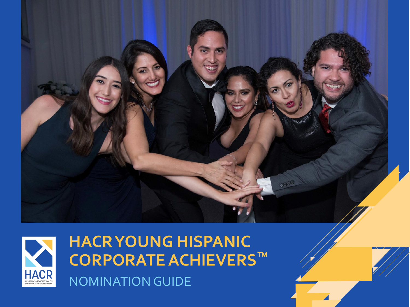



# **HACR YOUNG HISPANIC CORPORATE ACHIEVERS**™ **NOMINATION GUIDE**

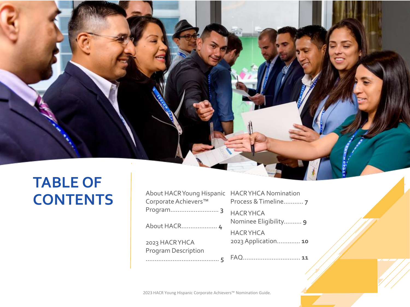

## **TABLE OF CONTENTS**

| About HACR Young Hispanic HACR YHCA Nomination |                       |
|------------------------------------------------|-----------------------|
| Corporate Achievers™                           | Process & Timeline 7  |
| Program 3                                      | <b>HACRYHCA</b>       |
| About HACR 4                                   | Nominee Eligibility 9 |
|                                                | <b>HACRYHCA</b>       |
| 2023 HACRYHCA                                  | 2023 Application 10   |
| <b>Program Description</b>                     |                       |
|                                                |                       |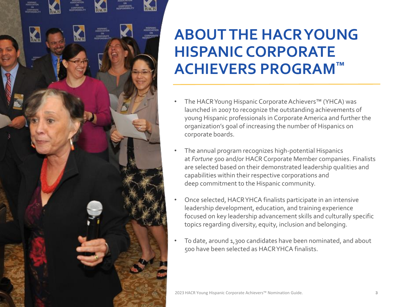

## **ABOUT THE HACR YOUNG HISPANIC CORPORATE ACHIEVERS PROGRAM™**

- The HACR Young Hispanic Corporate Achievers™ (YHCA) was launched in 2007 to recognize the outstanding achievements of young Hispanic professionals in Corporate America and further the organization's goal of increasing the number of Hispanics on corporate boards.
- The annual program recognizes high-potential Hispanics at *Fortune* 500 and/or HACR Corporate Member companies. Finalists are selected based on their demonstrated leadership qualities and capabilities within their respective corporations and deep commitment to the Hispanic community.
- Once selected, HACR YHCA finalists participate in an intensive leadership development, education, and training experience focused on key leadership advancement skills and culturally specific topics regarding diversity, equity, inclusion and belonging.
- To date, around 1,300 candidates have been nominated, and about 500 have been selected as HACR YHCA finalists.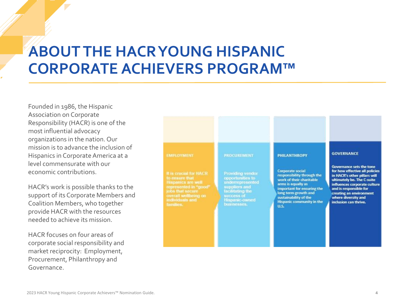## **ABOUT THE HACR YOUNG HISPANIC CORPORATE ACHIEVERS PROGRAM™**

Founded in 1986, the Hispanic Association on Corporate Responsibility (HACR) is one of the most influential advocacy organizations in the nation. Our mission is to advance the inclusion of Hispanics in Corporate America at a level commensurate with our economic contributions.

HACR's work is possible thanks to the support of its Corporate Members and Coalition Members, who together provide HACR with the resources needed to achieve its mission.

HACR focuses on four areas of corporate social responsibility and market reciprocity: Employment, Procurement, Philanthropy and Governance.

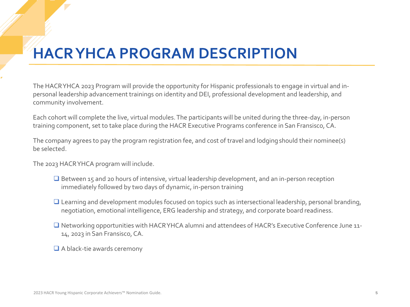## **HACR YHCA PROGRAM DESCRIPTION**

The HACR YHCA 2023 Program will provide the opportunity for Hispanic professionals to engage in virtual and inpersonal leadership advancement trainings on identity and DEI, professional development and leadership, and community involvement.

Each cohort will complete the live, virtual modules. The participants will be united during the three-day, in-person training component, set to take place during the HACR Executive Programs conference in San Fransisco, CA.

The company agrees to pay the program registration fee, and cost of travel and lodgingshould their nominee(s) be selected.

The 2023 HACR YHCA program will include.

- ❑ Between 15 and 20 hours of intensive, virtual leadership development, and an in-person reception immediately followed by two days of dynamic, in-person training
- ❑ Learning and development modules focused on topics such as intersectional leadership, personal branding, negotiation, emotional intelligence, ERG leadership and strategy, and corporate board readiness.
- ❑ Networking opportunities with HACR YHCA alumni and attendees of HACR's Executive Conference June 11- 14, 2023 in San Fransisco, CA.

❑ A black-tie awards ceremony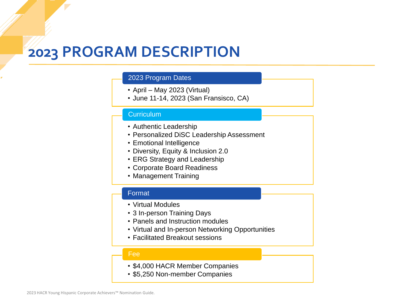## **2023 PROGRAM DESCRIPTION**

### 2023 Program Dates

- April May 2023 (Virtual)
- June 11-14, 2023 (San Fransisco, CA)

### **Curriculum**

- Authentic Leadership
- Personalized DiSC Leadership Assessment
- Emotional Intelligence
- Diversity, Equity & Inclusion 2.0
- ERG Strategy and Leadership
- Corporate Board Readiness
- Management Training

### Format

- Virtual Modules
- 3 In-person Training Days
- Panels and Instruction modules
- Virtual and In-person Networking Opportunities
- Facilitated Breakout sessions

#### Fee

- \$4,000 HACR Member Companies
- \$5,250 Non-member Companies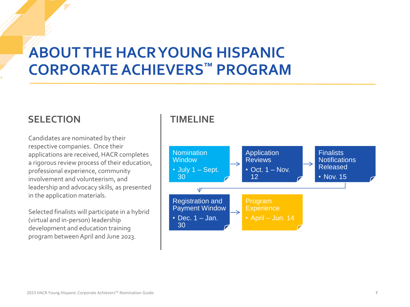## **ABOUT THE HACR YOUNG HISPANIC CORPORATE ACHIEVERS™ PROGRAM**

## **SELECTION**

Candidates are nominated by their respective companies. Once their applications are received, HACR completes a rigorous review process of their education, professional experience, community involvement and volunteerism, and leadership and advocacy skills, as presented in the application materials.

Selected finalists will participate in a hybrid (virtual and in-person) leadership development and education training program between April and June 2023.

## **TIMELINE**

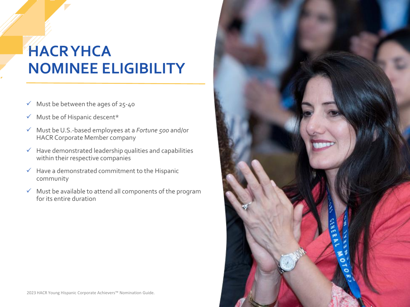## **HACR YHCA NOMINEE ELIGIBILITY**

- $\checkmark$  Must be between the ages of 25-40
- ✓ Must be of Hispanic descent\*
- ✓ Must be U.S.-based employees at a *Fortune 500* and/or HACR Corporate Member company
- $\checkmark$  Have demonstrated leadership qualities and capabilities within their respective companies
- $\checkmark$  Have a demonstrated commitment to the Hispanic community
- $\checkmark$  Must be available to attend all components of the program for its entire duration

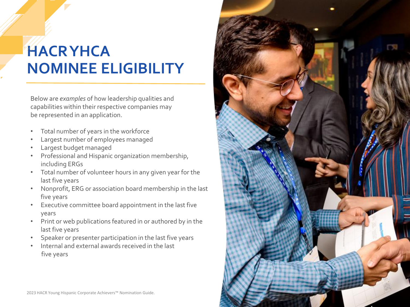# **HACR YHCA NOMINEE ELIGIBILITY**

Below are *examples* of how leadership qualities and capabilities within their respective companies may be represented in an application.

- Total number of years in the workforce
- Largest number of employees managed
- Largest budget managed
- Professional and Hispanic organization membership, including ERGs
- Total number of volunteer hours in any given year for the last five years
- Nonprofit, ERG or association board membership in the last five years
- Executive committee board appointment in the last five years
- Print or web publications featured in or authored by in the last five years
- Speaker or presenter participation in the last five years
- Internal and external awards received in the last five years

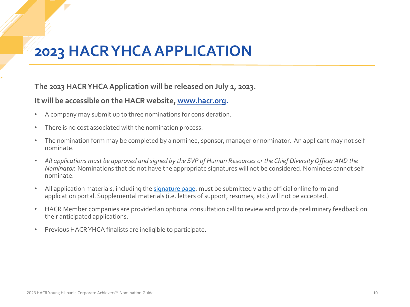## **2023 HACR YHCA APPLICATION**

## **The 2023 HACR YHCA Application will be released on July 1, 2023.**

## **It will be accessible on the HACR website, [www.hacr.org](http://www.hacr.org/).**

- A company may submit up to three nominations for consideration.
- There is no cost associated with the nomination process.
- The nomination form may be completed by a nominee, sponsor, manager or nominator. An applicant may not selfnominate.
- *All applications must be approved and signed by the SVP of Human Resources or the Chief Diversity Officer AND the Nominator.* Nominations that do not have the appropriate signatures will not be considered. Nominees cannot selfnominate.
- All application materials, including the [signature page](https://f.hubspotusercontent00.net/hubfs/4476451/4.%20Programs/YHCA/2020%20Class%20Documents/HACR%20YHCA%20Signature%20Page%20(Writable).pdf), must be submitted via the official online form and application portal. Supplemental materials (i.e. letters of support, resumes, etc.) will not be accepted.
- HACR Member companies are provided an optional consultation call to review and provide preliminary feedback on their anticipated applications.
- Previous HACR YHCA finalists are ineligible to participate.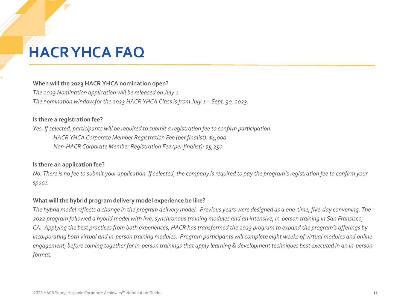# **HACR YHCA FAQ**

### **When will the 2023 HACR YHCA nomination open?**

*The 2023 Nomination application will be released on July 1. The nomination window for the 2023 HACR YHCA Class is from July 1 - Sept. 30, 2023.* 

#### **Is there a registration fee?**

*Yes. If selected, participants will be required to submit a registration fee to confirm participation. HACR YHCA Corporate Member Registration Fee (per finalist): \$4,000 Non-HACR Corporate Member Registration Fee (per finalist): \$5,250*

#### **Is there an application fee?**

*No. There is no fee to submit your application. If selected, the company is required to pay the program's registration fee to confirm your space.*

### **What will the hybrid program delivery model experience be like?**

*The hybrid model reflects a change in the program delivery model. Previous years were designed as a one-time, five-day convening. The 2022 program followed a hybrid model with live, synchronous training modules and an intensive, in-person training in San Fransisco, CA. Applying the best practices from both experiences, HACR has transformed the 2023 program to expand the program's offerings by incorporating both virtual and in-person training modules. Program participants will complete eight weeks of virtual modules and online engagement, before coming together for in-person trainings that apply learning & development techniques best executed in an in-person format.*